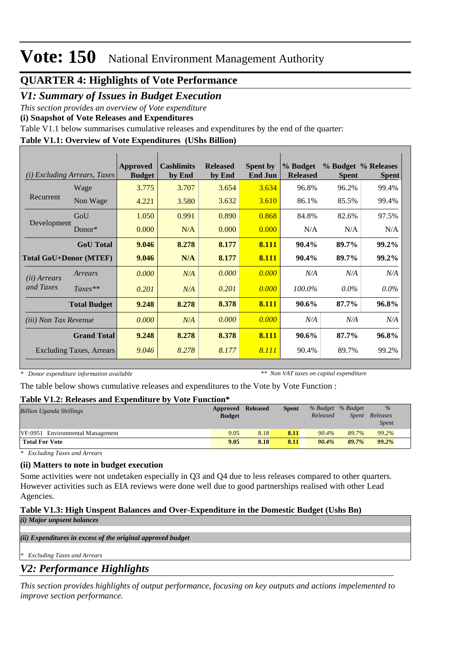### **QUARTER 4: Highlights of Vote Performance**

### *V1: Summary of Issues in Budget Execution*

*This section provides an overview of Vote expenditure* 

**(i) Snapshot of Vote Releases and Expenditures**

Table V1.1 below summarises cumulative releases and expenditures by the end of the quarter:

### **Table V1.1: Overview of Vote Expenditures (UShs Billion)**

| (i)                           | <i>Excluding Arrears, Taxes</i> | Approved<br><b>Budget</b> | <b>Cashlimits</b><br>by End | <b>Released</b><br>by End | <b>Spent by</b><br><b>End Jun</b> | % Budget<br><b>Released</b> | <b>Spent</b> | % Budget % Releases<br><b>Spent</b> |
|-------------------------------|---------------------------------|---------------------------|-----------------------------|---------------------------|-----------------------------------|-----------------------------|--------------|-------------------------------------|
|                               | Wage                            | 3.775                     | 3.707                       | 3.654                     | 3.634                             | 96.8%                       | 96.2%        | 99.4%                               |
| Recurrent                     | Non Wage                        | 4.221                     | 3.580                       | 3.632                     | 3.610                             | 86.1%                       | 85.5%        | 99.4%                               |
|                               | GoU                             | 1.050                     | 0.991                       | 0.890                     | 0.868                             | 84.8%                       | 82.6%        | 97.5%                               |
| Development                   | Donor $*$                       | 0.000                     | N/A                         | 0.000                     | 0.000                             | N/A                         | N/A          | N/A                                 |
|                               | <b>GoU</b> Total                | 9.046                     | 8.278                       | 8.177                     | 8.111                             | 90.4%                       | 89.7%        | 99.2%                               |
| <b>Total GoU+Donor (MTEF)</b> |                                 | 9.046                     | N/A                         | 8.177                     | 8.111                             | 90.4%                       | 89.7%        | 99.2%                               |
| ( <i>ii</i> ) Arrears         | Arrears                         | 0.000                     | N/A                         | 0.000                     | 0.000                             | N/A                         | N/A          | N/A                                 |
| and Taxes                     | $Taxes**$                       | 0.201                     | N/A                         | 0.201                     | 0.000                             | 100.0%                      | $0.0\%$      | $0.0\%$                             |
|                               | <b>Total Budget</b>             | 9.248                     | 8.278                       | 8.378                     | 8.111                             | 90.6%                       | 87.7%        | 96.8%                               |
| (iii) Non Tax Revenue         |                                 | 0.000                     | N/A                         | 0.000                     | 0.000                             | N/A                         | N/A          | N/A                                 |
|                               | <b>Grand Total</b>              | 9.248                     | 8.278                       | 8.378                     | 8.111                             | 90.6%                       | 87.7%        | 96.8%                               |
|                               | <b>Excluding Taxes, Arrears</b> | 9.046                     | 8.278                       | 8.177                     | 8.111                             | 90.4%                       | 89.7%        | 99.2%                               |

*\* Donor expenditure information available*

*\*\* Non VAT taxes on capital expenditure*

The table below shows cumulative releases and expenditures to the Vote by Vote Function :

#### **Table V1.2: Releases and Expenditure by Vote Function\***

|               |      | <b>Spent</b> |                   |              | $\%$              |  |  |  |
|---------------|------|--------------|-------------------|--------------|-------------------|--|--|--|
| <b>Budget</b> |      |              | Released          | <i>Spent</i> | Releases          |  |  |  |
|               |      |              |                   |              | <b>Spent</b>      |  |  |  |
| 9.05          | 8.18 | 8.11         | $90.4\%$          | 89.7%        | 99.2%             |  |  |  |
| 9.05          | 8.18 | 8.11         | 90.4%             | 89.7%        | $99.2\%$          |  |  |  |
|               |      |              | Approved Released |              | % Budget % Budget |  |  |  |

*\* Excluding Taxes and Arrears*

#### **(ii) Matters to note in budget execution**

Some activities were not undetaken especially in Q3 and Q4 due to less releases compared to other quarters. However activities such as EIA reviews were done well due to good partnerships realised with other Lead Agencies.

#### **Table V1.3: High Unspent Balances and Over-Expenditure in the Domestic Budget (Ushs Bn)**

*(i) Major unpsent balances*

*(ii) Expenditures in excess of the original approved budget*

*\* Excluding Taxes and Arrears*

## *V2: Performance Highlights*

*This section provides highlights of output performance, focusing on key outputs and actions impelemented to improve section performance.*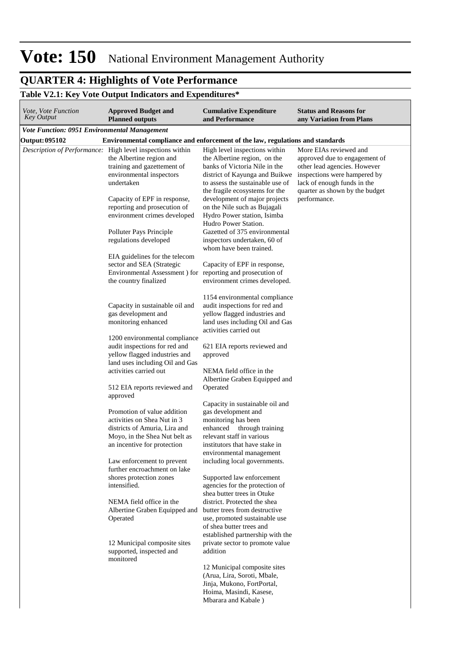#### **QUARTER 4: Highlights of Vote Performance** *This section provides highlights of output performance, focusing on key outputs and actions impelemented to improve section performance.*

### **Table V2.1: Key Vote Output Indicators and Expenditures\***

| Vote, Vote Function<br><b>Key Output</b>            | <b>Approved Budget and</b><br><b>Planned outputs</b>                                                                                                                                                                                                           | <b>Cumulative Expenditure</b><br>and Performance                                                                                                                                                                                                                                                                               | <b>Status and Reasons for</b><br>any Variation from Plans                                                                                                                                                |
|-----------------------------------------------------|----------------------------------------------------------------------------------------------------------------------------------------------------------------------------------------------------------------------------------------------------------------|--------------------------------------------------------------------------------------------------------------------------------------------------------------------------------------------------------------------------------------------------------------------------------------------------------------------------------|----------------------------------------------------------------------------------------------------------------------------------------------------------------------------------------------------------|
| <b>Vote Function: 0951 Environmental Management</b> |                                                                                                                                                                                                                                                                |                                                                                                                                                                                                                                                                                                                                |                                                                                                                                                                                                          |
| <b>Output: 095102</b>                               | Environmental compliance and enforcement of the law, regulations and standards                                                                                                                                                                                 |                                                                                                                                                                                                                                                                                                                                |                                                                                                                                                                                                          |
|                                                     | Description of Performance: High level inspections within<br>the Albertine region and<br>training and gazettement of<br>environmental inspectors<br>undertaken<br>Capacity of EPF in response,<br>reporting and prosecution of<br>environment crimes developed | High level inspections within<br>the Albertine region, on the<br>banks of Victoria Nile in the<br>district of Kayunga and Buikwe<br>to assess the sustainable use of<br>the fragile ecosystems for the<br>development of major projects<br>on the Nile such as Bujagali<br>Hydro Power station, Isimba<br>Hudro Power Station. | More EIAs reviewed and<br>approved due to engagement of<br>other lead agencies. However<br>inspections were hampered by<br>lack of enough funds in the<br>quarter as shown by the budget<br>performance. |
|                                                     | Polluter Pays Principle<br>regulations developed<br>EIA guidelines for the telecom<br>sector and SEA (Strategic                                                                                                                                                | Gazetted of 375 environmental<br>inspectors undertaken, 60 of<br>whom have been trained.<br>Capacity of EPF in response,                                                                                                                                                                                                       |                                                                                                                                                                                                          |
|                                                     | Environmental Assessment ) for reporting and prosecution of<br>the country finalized                                                                                                                                                                           | environment crimes developed.<br>1154 environmental compliance                                                                                                                                                                                                                                                                 |                                                                                                                                                                                                          |
|                                                     | Capacity in sustainable oil and<br>gas development and<br>monitoring enhanced<br>1200 environmental compliance                                                                                                                                                 | audit inspections for red and<br>yellow flagged industries and<br>land uses including Oil and Gas<br>activities carried out                                                                                                                                                                                                    |                                                                                                                                                                                                          |
|                                                     | audit inspections for red and<br>yellow flagged industries and<br>land uses including Oil and Gas<br>activities carried out                                                                                                                                    | 621 EIA reports reviewed and<br>approved<br>NEMA field office in the                                                                                                                                                                                                                                                           |                                                                                                                                                                                                          |
|                                                     | 512 EIA reports reviewed and<br>approved                                                                                                                                                                                                                       | Albertine Graben Equipped and<br>Operated<br>Capacity in sustainable oil and                                                                                                                                                                                                                                                   |                                                                                                                                                                                                          |
|                                                     | Promotion of value addition<br>activities on Shea Nut in 3<br>districts of Amuria, Lira and<br>Moyo, in the Shea Nut belt as<br>an incentive for protection                                                                                                    | gas development and<br>monitoring has been<br>enhanced through training<br>relevant staff in various<br>institutors that have stake in                                                                                                                                                                                         |                                                                                                                                                                                                          |
|                                                     | Law enforcement to prevent<br>further encroachment on lake<br>shores protection zones<br>intensified.                                                                                                                                                          | environmental management<br>including local governments.<br>Supported law enforcement<br>agencies for the protection of                                                                                                                                                                                                        |                                                                                                                                                                                                          |
|                                                     | NEMA field office in the<br>Albertine Graben Equipped and<br>Operated                                                                                                                                                                                          | shea butter trees in Otuke<br>district. Protected the shea<br>butter trees from destructive<br>use, promoted sustainable use<br>of shea butter trees and<br>established partnership with the                                                                                                                                   |                                                                                                                                                                                                          |
|                                                     | 12 Municipal composite sites<br>supported, inspected and<br>monitored                                                                                                                                                                                          | private sector to promote value<br>addition<br>12 Municipal composite sites<br>(Arua, Lira, Soroti, Mbale,<br>Jinja, Mukono, FortPortal,<br>Hoima, Masindi, Kasese,<br>Mbarara and Kabale)                                                                                                                                     |                                                                                                                                                                                                          |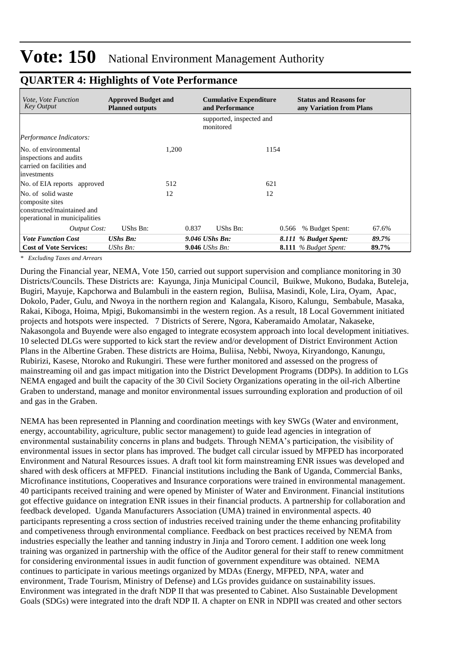| <i>Vote, Vote Function</i><br><b>Key Output</b>                                                      | <b>Approved Budget and</b><br><b>Planned outputs</b> |       | <b>Cumulative Expenditure</b><br>and Performance |       | <b>Status and Reasons for</b><br>any Variation from Plans |       |
|------------------------------------------------------------------------------------------------------|------------------------------------------------------|-------|--------------------------------------------------|-------|-----------------------------------------------------------|-------|
|                                                                                                      |                                                      |       | supported, inspected and<br>monitored            |       |                                                           |       |
| Performance Indicators:                                                                              |                                                      |       |                                                  |       |                                                           |       |
| No. of environmental<br>inspections and audits<br>carried on facilities and<br>investments           |                                                      | 1,200 |                                                  | 1154  |                                                           |       |
| No. of EIA reports approved                                                                          |                                                      | 512   |                                                  | 621   |                                                           |       |
| No. of solid waste<br>composite sites<br>constructed/maintained and<br>operational in municipalities |                                                      | 12    |                                                  | 12    |                                                           |       |
| <b>Output Cost:</b>                                                                                  | UShs Bn:                                             | 0.837 | UShs Bn:                                         | 0.566 | % Budget Spent:                                           | 67.6% |
| <b>Vote Function Cost</b>                                                                            | <b>UShs Bn:</b>                                      |       | $9.046$ UShs Bn:                                 |       | 8.111 % Budget Spent:                                     | 89.7% |
| <b>Cost of Vote Services:</b>                                                                        | UShs $Bn$ :                                          |       | <b>9.046</b> <i>UShs Bn:</i>                     |       | <b>8.111</b> % Budget Spent:                              | 89.7% |

### **QUARTER 4: Highlights of Vote Performance**

*\* Excluding Taxes and Arrears*

During the Financial year, NEMA, Vote 150, carried out support supervision and compliance monitoring in 30 Districts/Councils. These Districts are: Kayunga, Jinja Municipal Council, Buikwe, Mukono, Budaka, Buteleja, Bugiri, Mayuje, Kapchorwa and Bulambuli in the eastern region, Buliisa, Masindi, Kole, Lira, Oyam, Apac, Dokolo, Pader, Gulu, and Nwoya in the northern region and Kalangala, Kisoro, Kalungu, Sembabule, Masaka, Rakai, Kiboga, Hoima, Mpigi, Bukomansimbi in the western region. As a result, 18 Local Government initiated projects and hotspots were inspected. 7 Districts of Serere, Ngora, Kaberamaido Amolatar, Nakaseke, Nakasongola and Buyende were also engaged to integrate ecosystem approach into local development initiatives. 10 selected DLGs were supported to kick start the review and/or development of District Environment Action Plans in the Albertine Graben. These districts are Hoima, Buliisa, Nebbi, Nwoya, Kiryandongo, Kanungu, Rubirizi, Kasese, Ntoroko and Rukungiri. These were further monitored and assessed on the progress of mainstreaming oil and gas impact mitigation into the District Development Programs (DDPs). In addition to LGs NEMA engaged and built the capacity of the 30 Civil Society Organizations operating in the oil-rich Albertine Graben to understand, manage and monitor environmental issues surrounding exploration and production of oil and gas in the Graben.

NEMA has been represented in Planning and coordination meetings with key SWGs (Water and environment, energy, accountability, agriculture, public sector management) to guide lead agencies in integration of environmental sustainability concerns in plans and budgets. Through NEMA's participation, the visibility of environmental issues in sector plans has improved. The budget call circular issued by MFPED has incorporated Environment and Natural Resources issues. A draft tool kit form mainstreaming ENR issues was developed and shared with desk officers at MFPED. Financial institutions including the Bank of Uganda, Commercial Banks, Microfinance institutions, Cooperatives and Insurance corporations were trained in environmental management. 40 participants received training and were opened by Minister of Water and Environment. Financial institutions got effective guidance on integration ENR issues in their financial products. A partnership for collaboration and feedback developed. Uganda Manufacturers Association (UMA) trained in environmental aspects. 40 participants representing a cross section of industries received training under the theme enhancing profitability and competiveness through environmental compliance. Feedback on best practices received by NEMA from industries especially the leather and tanning industry in Jinja and Tororo cement. I addition one week long training was organized in partnership with the office of the Auditor general for their staff to renew commitment for considering environmental issues in audit function of government expenditure was obtained. NEMA continues to participate in various meetings organized by MDAs (Energy, MFPED, NPA, water and environment, Trade Tourism, Ministry of Defense) and LGs provides guidance on sustainability issues. Environment was integrated in the draft NDP II that was presented to Cabinet. Also Sustainable Development Goals (SDGs) were integrated into the draft NDP II. A chapter on ENR in NDPII was created and other sectors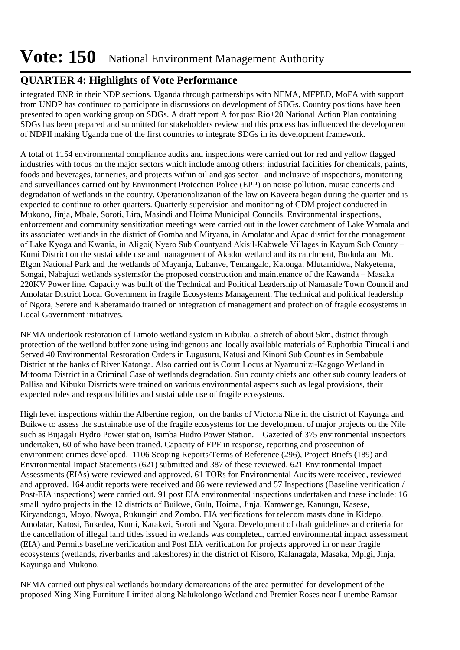## **QUARTER 4: Highlights of Vote Performance**

integrated ENR in their NDP sections. Uganda through partnerships with NEMA, MFPED, MoFA with support from UNDP has continued to participate in discussions on development of SDGs. Country positions have been presented to open working group on SDGs. A draft report A for post Rio+20 National Action Plan containing SDGs has been prepared and submitted for stakeholders review and this process has influenced the development of NDPII making Uganda one of the first countries to integrate SDGs in its development framework.

A total of 1154 environmental compliance audits and inspections were carried out for red and yellow flagged industries with focus on the major sectors which include among others; industrial facilities for chemicals, paints, foods and beverages, tanneries, and projects within oil and gas sector and inclusive of inspections, monitoring and surveillances carried out by Environment Protection Police (EPP) on noise pollution, music concerts and degradation of wetlands in the country. Operationalization of the law on Kaveera began during the quarter and is expected to continue to other quarters. Quarterly supervision and monitoring of CDM project conducted in Mukono, Jinja, Mbale, Soroti, Lira, Masindi and Hoima Municipal Councils. Environmental inspections, enforcement and community sensitization meetings were carried out in the lower catchment of Lake Wamala and its associated wetlands in the district of Gomba and Mityana, in Amolatar and Apac district for the management of Lake Kyoga and Kwania, in Aligoi( Nyero Sub Countyand Akisil-Kabwele Villages in Kayum Sub County – Kumi District on the sustainable use and management of Akadot wetland and its catchment, Bududa and Mt. Elgon National Park and the wetlands of Mayanja, Lubanve, Temangalo, Katonga, Mlutamidwa, Nakyetema, Songai, Nabajuzi wetlands systemsfor the proposed construction and maintenance of the Kawanda – Masaka 220KV Power line. Capacity was built of the Technical and Political Leadership of Namasale Town Council and Amolatar District Local Government in fragile Ecosystems Management. The technical and political leadership of Ngora, Serere and Kaberamaido trained on integration of management and protection of fragile ecosystems in Local Government initiatives.

NEMA undertook restoration of Limoto wetland system in Kibuku, a stretch of about 5km, district through protection of the wetland buffer zone using indigenous and locally available materials of Euphorbia Tirucalli and Served 40 Environmental Restoration Orders in Lugusuru, Katusi and Kinoni Sub Counties in Sembabule District at the banks of River Katonga. Also carried out is Court Locus at Nyamuhiizi-Kagogo Wetland in Mitooma District in a Criminal Case of wetlands degradation. Sub county chiefs and other sub county leaders of Pallisa and Kibuku Districts were trained on various environmental aspects such as legal provisions, their expected roles and responsibilities and sustainable use of fragile ecosystems.

High level inspections within the Albertine region, on the banks of Victoria Nile in the district of Kayunga and Buikwe to assess the sustainable use of the fragile ecosystems for the development of major projects on the Nile such as Bujagali Hydro Power station, Isimba Hudro Power Station. Gazetted of 375 environmental inspectors undertaken, 60 of who have been trained. Capacity of EPF in response, reporting and prosecution of environment crimes developed. 1106 Scoping Reports/Terms of Reference (296), Project Briefs (189) and Environmental Impact Statements (621) submitted and 387 of these reviewed. 621 Environmental Impact Assessments (EIAs) were reviewed and approved. 61 TORs for Environmental Audits were received, reviewed and approved. 164 audit reports were received and 86 were reviewed and 57 Inspections (Baseline verification / Post-EIA inspections) were carried out. 91 post EIA environmental inspections undertaken and these include; 16 small hydro projects in the 12 districts of Buikwe, Gulu, Hoima, Jinja, Kamwenge, Kanungu, Kasese, Kiryandongo, Moyo, Nwoya, Rukungiri and Zombo. EIA verifications for telecom masts done in Kidepo, Amolatar, Katosi, Bukedea, Kumi, Katakwi, Soroti and Ngora. Development of draft guidelines and criteria for the cancellation of illegal land titles issued in wetlands was completed, carried environmental impact assessment (EIA) and Permits baseline verification and Post EIA verification for projects approved in or near fragile ecosystems (wetlands, riverbanks and lakeshores) in the district of Kisoro, Kalanagala, Masaka, Mpigi, Jinja, Kayunga and Mukono.

NEMA carried out physical wetlands boundary demarcations of the area permitted for development of the proposed Xing Xing Furniture Limited along Nalukolongo Wetland and Premier Roses near Lutembe Ramsar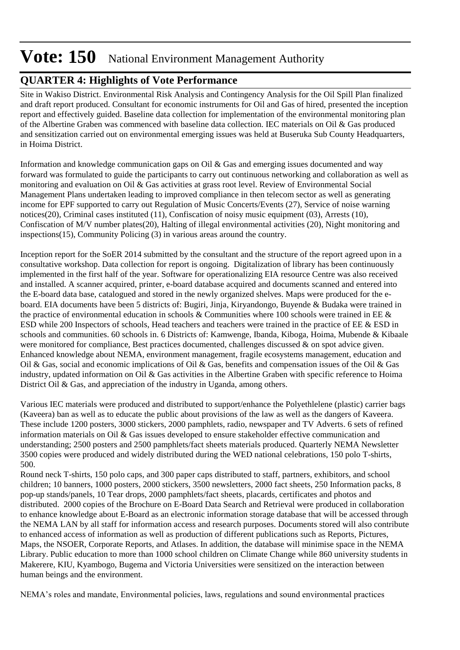## **QUARTER 4: Highlights of Vote Performance**

Site in Wakiso District. Environmental Risk Analysis and Contingency Analysis for the Oil Spill Plan finalized and draft report produced. Consultant for economic instruments for Oil and Gas of hired, presented the inception report and effectively guided. Baseline data collection for implementation of the environmental monitoring plan of the Albertine Graben was commenced with baseline data collection. IEC materials on Oil & Gas produced and sensitization carried out on environmental emerging issues was held at Buseruka Sub County Headquarters, in Hoima District.

Information and knowledge communication gaps on Oil & Gas and emerging issues documented and way forward was formulated to guide the participants to carry out continuous networking and collaboration as well as monitoring and evaluation on Oil & Gas activities at grass root level. Review of Environmental Social Management Plans undertaken leading to improved compliance in then telecom sector as well as generating income for EPF supported to carry out Regulation of Music Concerts/Events (27), Service of noise warning notices(20), Criminal cases instituted (11), Confiscation of noisy music equipment (03), Arrests (10), Confiscation of M/V number plates(20), Halting of illegal environmental activities (20), Night monitoring and inspections(15), Community Policing (3) in various areas around the country.

Inception report for the SoER 2014 submitted by the consultant and the structure of the report agreed upon in a consultative workshop. Data collection for report is ongoing. Digitalization of library has been continuously implemented in the first half of the year. Software for operationalizing EIA resource Centre was also received and installed. A scanner acquired, printer, e-board database acquired and documents scanned and entered into the E-board data base, catalogued and stored in the newly organized shelves. Maps were produced for the eboard. EIA documents have been 5 districts of: Bugiri, Jinja, Kiryandongo, Buyende & Budaka were trained in the practice of environmental education in schools  $\&$  Communities where 100 schools were trained in EE  $\&$ ESD while 200 Inspectors of schools, Head teachers and teachers were trained in the practice of EE & ESD in schools and communities. 60 schools in. 6 Districts of: Kamwenge, Ibanda, Kiboga, Hoima, Mubende & Kibaale were monitored for compliance, Best practices documented, challenges discussed & on spot advice given. Enhanced knowledge about NEMA, environment management, fragile ecosystems management, education and Oil & Gas, social and economic implications of Oil & Gas, benefits and compensation issues of the Oil & Gas industry, updated information on Oil & Gas activities in the Albertine Graben with specific reference to Hoima District Oil & Gas, and appreciation of the industry in Uganda, among others.

Various IEC materials were produced and distributed to support/enhance the Polyethlelene (plastic) carrier bags (Kaveera) ban as well as to educate the public about provisions of the law as well as the dangers of Kaveera. These include 1200 posters, 3000 stickers, 2000 pamphlets, radio, newspaper and TV Adverts. 6 sets of refined information materials on Oil & Gas issues developed to ensure stakeholder effective communication and understanding; 2500 posters and 2500 pamphlets/fact sheets materials produced. Quarterly NEMA Newsletter 3500 copies were produced and widely distributed during the WED national celebrations, 150 polo T-shirts, 500.

Round neck T-shirts, 150 polo caps, and 300 paper caps distributed to staff, partners, exhibitors, and school children; 10 banners, 1000 posters, 2000 stickers, 3500 newsletters, 2000 fact sheets, 250 Information packs, 8 pop-up stands/panels, 10 Tear drops, 2000 pamphlets/fact sheets, placards, certificates and photos and distributed. 2000 copies of the Brochure on E-Board Data Search and Retrieval were produced in collaboration to enhance knowledge about E-Board as an electronic information storage database that will be accessed through the NEMA LAN by all staff for information access and research purposes. Documents stored will also contribute to enhanced access of information as well as production of different publications such as Reports, Pictures, Maps, the NSOER, Corporate Reports, and Atlases. In addition, the database will minimise space in the NEMA Library. Public education to more than 1000 school children on Climate Change while 860 university students in Makerere, KIU, Kyambogo, Bugema and Victoria Universities were sensitized on the interaction between human beings and the environment.

NEMA's roles and mandate, Environmental policies, laws, regulations and sound environmental practices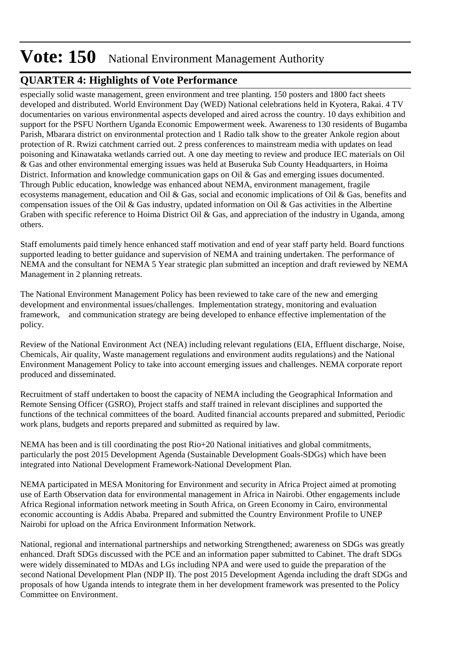### **QUARTER 4: Highlights of Vote Performance**

especially solid waste management, green environment and tree planting. 150 posters and 1800 fact sheets developed and distributed. World Environment Day (WED) National celebrations held in Kyotera, Rakai. 4 TV documentaries on various environmental aspects developed and aired across the country. 10 days exhibition and support for the PSFU Northern Uganda Economic Empowerment week. Awareness to 130 residents of Bugamba Parish, Mbarara district on environmental protection and 1 Radio talk show to the greater Ankole region about protection of R. Rwizi catchment carried out. 2 press conferences to mainstream media with updates on lead poisoning and Kinawataka wetlands carried out. A one day meeting to review and produce IEC materials on Oil & Gas and other environmental emerging issues was held at Buseruka Sub County Headquarters, in Hoima District. Information and knowledge communication gaps on Oil & Gas and emerging issues documented. Through Public education, knowledge was enhanced about NEMA, environment management, fragile ecosystems management, education and Oil & Gas, social and economic implications of Oil & Gas, benefits and compensation issues of the Oil & Gas industry, updated information on Oil & Gas activities in the Albertine Graben with specific reference to Hoima District Oil & Gas, and appreciation of the industry in Uganda, among others.

Staff emoluments paid timely hence enhanced staff motivation and end of year staff party held. Board functions supported leading to better guidance and supervision of NEMA and training undertaken. The performance of NEMA and the consultant for NEMA 5 Year strategic plan submitted an inception and draft reviewed by NEMA Management in 2 planning retreats.

The National Environment Management Policy has been reviewed to take care of the new and emerging development and environmental issues/challenges. Implementation strategy, monitoring and evaluation framework, and communication strategy are being developed to enhance effective implementation of the policy.

Review of the National Environment Act (NEA) including relevant regulations (EIA, Effluent discharge, Noise, Chemicals, Air quality, Waste management regulations and environment audits regulations) and the National Environment Management Policy to take into account emerging issues and challenges. NEMA corporate report produced and disseminated.

Recruitment of staff undertaken to boost the capacity of NEMA including the Geographical Information and Remote Sensing Officer (GSRO), Project staffs and staff trained in relevant disciplines and supported the functions of the technical committees of the board. Audited financial accounts prepared and submitted, Periodic work plans, budgets and reports prepared and submitted as required by law.

NEMA has been and is till coordinating the post Rio+20 National initiatives and global commitments, particularly the post 2015 Development Agenda (Sustainable Development Goals-SDGs) which have been integrated into National Development Framework-National Development Plan.

NEMA participated in MESA Monitoring for Environment and security in Africa Project aimed at promoting use of Earth Observation data for environmental management in Africa in Nairobi. Other engagements include Africa Regional information network meeting in South Africa, on Green Economy in Cairo, environmental economic accounting is Addis Ababa. Prepared and submitted the Country Environment Profile to UNEP Nairobi for upload on the Africa Environment Information Network.

National, regional and international partnerships and networking Strengthened; awareness on SDGs was greatly enhanced. Draft SDGs discussed with the PCE and an information paper submitted to Cabinet. The draft SDGs were widely disseminated to MDAs and LGs including NPA and were used to guide the preparation of the second National Development Plan (NDP II). The post 2015 Development Agenda including the draft SDGs and proposals of how Uganda intends to integrate them in her development framework was presented to the Policy Committee on Environment.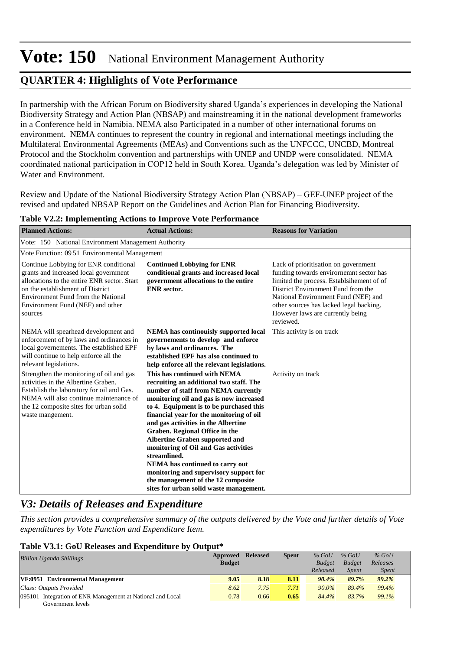### **QUARTER 4: Highlights of Vote Performance**

In partnership with the African Forum on Biodiversity shared Uganda's experiences in developing the National Biodiversity Strategy and Action Plan (NBSAP) and mainstreaming it in the national development frameworks in a Conference held in Namibia. NEMA also Participated in a number of other international forums on environment. NEMA continues to represent the country in regional and international meetings including the Multilateral Environmental Agreements (MEAs) and Conventions such as the UNFCCC, UNCBD, Montreal Protocol and the Stockholm convention and partnerships with UNEP and UNDP were consolidated. NEMA coordinated national participation in COP12 held in South Korea. Uganda's delegation was led by Minister of Water and Environment.

Review and Update of the National Biodiversity Strategy Action Plan (NBSAP) – GEF-UNEP project of the revised and updated NBSAP Report on the Guidelines and Action Plan for Financing Biodiversity.

| <b>Planned Actions:</b>                                                                                                                                                                                                                                | <b>Actual Actions:</b>                                                                                                                                                                                                                                                                                                                                                                                                                                                                                                                                                                          | <b>Reasons for Variation</b>                                                                                                                                                                                                                                                                          |  |  |  |  |  |  |  |  |
|--------------------------------------------------------------------------------------------------------------------------------------------------------------------------------------------------------------------------------------------------------|-------------------------------------------------------------------------------------------------------------------------------------------------------------------------------------------------------------------------------------------------------------------------------------------------------------------------------------------------------------------------------------------------------------------------------------------------------------------------------------------------------------------------------------------------------------------------------------------------|-------------------------------------------------------------------------------------------------------------------------------------------------------------------------------------------------------------------------------------------------------------------------------------------------------|--|--|--|--|--|--|--|--|
| Vote: 150 National Environment Management Authority                                                                                                                                                                                                    |                                                                                                                                                                                                                                                                                                                                                                                                                                                                                                                                                                                                 |                                                                                                                                                                                                                                                                                                       |  |  |  |  |  |  |  |  |
|                                                                                                                                                                                                                                                        | Vote Function: 09.51 Environmental Management                                                                                                                                                                                                                                                                                                                                                                                                                                                                                                                                                   |                                                                                                                                                                                                                                                                                                       |  |  |  |  |  |  |  |  |
| Continue Lobbying for ENR conditional<br>grants and increased local government<br>allocations to the entire ENR sector. Start<br>on the establishment of District<br>Environment Fund from the National<br>Environment Fund (NEF) and other<br>sources | <b>Continued Lobbying for ENR</b><br>conditional grants and increased local<br>government allocations to the entire<br><b>ENR</b> sector.                                                                                                                                                                                                                                                                                                                                                                                                                                                       | Lack of prioritisation on government<br>funding towards envirornemnt sector has<br>limited the process. Establsihement of of<br>District Environment Fund from the<br>National Environment Fund (NEF) and<br>other sources has lacked legal backing.<br>However laws are currently being<br>reviewed. |  |  |  |  |  |  |  |  |
| NEMA will spearhead development and<br>enforcement of by laws and ordinances in<br>local governements. The established EPF<br>will continue to help enforce all the<br>relevant legislations.                                                          | <b>NEMA</b> has continouisly supported local<br>governements to develop and enforce<br>by laws and ordinances. The<br>established EPF has also continued to<br>help enforce all the relevant legislations.                                                                                                                                                                                                                                                                                                                                                                                      | This activity is on track                                                                                                                                                                                                                                                                             |  |  |  |  |  |  |  |  |
| Strengthen the monitoring of oil and gas<br>activities in the Albertine Graben.<br>Establish the laboratory for oil and Gas.<br>NEMA will also continue maintenance of<br>the 12 composite sites for urban solid<br>waste mangement.                   | This has continued with NEMA<br>recruiting an additional two staff. The<br>number of staff from NEMA currently<br>monitoring oil and gas is now increased<br>to 4. Equipment is to be purchased this<br>financial year for the monitoring of oil<br>and gas activities in the Albertine<br>Graben. Regional Office in the<br><b>Albertine Graben supported and</b><br>monitoring of Oil and Gas activities<br>streamlined.<br><b>NEMA</b> has continued to carry out<br>monitoring and supervisory support for<br>the management of the 12 composite<br>sites for urban solid waste management. | Activity on track                                                                                                                                                                                                                                                                                     |  |  |  |  |  |  |  |  |

#### **Table V2.2: Implementing Actions to Improve Vote Performance**

### *V3: Details of Releases and Expenditure*

*This section provides a comprehensive summary of the outputs delivered by the Vote and further details of Vote expenditures by Vote Function and Expenditure Item.*

#### **Table V3.1: GoU Releases and Expenditure by Output\***

| <b>Billion Uganda Shillings</b>                               | Approved      | <b>Released</b> | <b>Spent</b> | $%$ GoU       | $%$ GoU       | $%$ GoU      |
|---------------------------------------------------------------|---------------|-----------------|--------------|---------------|---------------|--------------|
|                                                               | <b>Budget</b> |                 |              | <b>Budget</b> | <b>Budget</b> | Releases     |
|                                                               |               |                 |              | Released      | <b>Spent</b>  | <b>Spent</b> |
| VF:0951 Environmental Management                              | 9.05          | 8.18            | 8.11         | 90.4%         | 89.7%         | 99.2%        |
| Class: Outputs Provided                                       | 8.62          | 7.75            | 7.71         | $90.0\%$      | 89.4%         | 99.4%        |
| Integration of ENR Management at National and Local<br>095101 | 0.78          | 0.66            | 0.65         | 84.4%         | 83.7%         | 99.1%        |
| Government levels                                             |               |                 |              |               |               |              |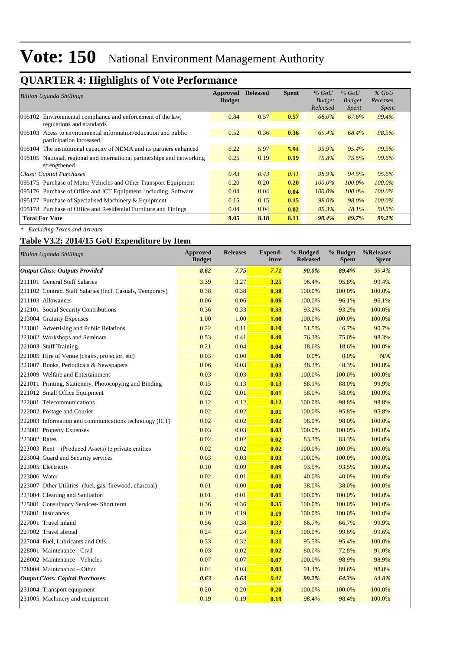## **QUARTER 4: Highlights of Vote Performance**

| <b>Billion Uganda Shillings</b>                                                              | Approved<br><b>Budget</b> | <b>Released</b> | <b>Spent</b> | $%$ GoU<br><b>Budget</b><br>Released | $%$ GoU<br><b>Budget</b><br><i>Spent</i> | $%$ GoU<br>Releases<br><i>Spent</i> |
|----------------------------------------------------------------------------------------------|---------------------------|-----------------|--------------|--------------------------------------|------------------------------------------|-------------------------------------|
| 095102 Environmental compliance and enforcement of the law,<br>regulations and standards     | 0.84                      | 0.57            | 0.57         | 68.0%                                | 67.6%                                    | 99.4%                               |
| Acess to environmental information/education and public<br>095103<br>participation increased | 0.52                      | 0.36            | 0.36         | 69.4%                                | 68.4%                                    | 98.5%                               |
| The institutional capacity of NEMA and its partners enhanced<br>095104                       | 6.22                      | 5.97            | 5.94         | 95.9%                                | $95.4\%$                                 | 99.5%                               |
| National, regional and international partnerships and networking<br>095105<br>strengthened   | 0.25                      | 0.19            | 0.19         | 75.8%                                | 75.5%                                    | 99.6%                               |
| Class: Capital Purchases                                                                     | 0.43                      | 0.43            | 0.41         | 98.9%                                | 94.5%                                    | 95.6%                               |
| 095175 Purchase of Motor Vehicles and Other Transport Equipment                              | 0.20                      | 0.20            | 0.20         | $100.0\%$                            | 100.0%                                   | $100.0\%$                           |
| 095176 Purchase of Office and ICT Equipment, including Software                              | 0.04                      | 0.04            | 0.04         | $100.0\%$                            | 100.0%                                   | $100.0\%$                           |
| 095177 Purchase of Specialised Machinery & Equipment                                         | 0.15                      | 0.15            | 0.15         | 98.0%                                | 98.0%                                    | 100.0%                              |
| 095178 Purchase of Office and Residential Furniture and Fittings                             | 0.04                      | 0.04            | 0.02         | 95.3%                                | 48.1%                                    | 50.5%                               |
| <b>Total For Vote</b>                                                                        | 9.05                      | 8.18            | 8.11         | 90.4%                                | 89.7%                                    | 99.2%                               |

*\* Excluding Taxes and Arrears*

### **Table V3.2: 2014/15 GoU Expenditure by Item**

| <b>Billion Uganda Shillings</b>                           | <b>Approved</b><br><b>Budget</b> | <b>Releases</b> | Expend-<br>iture | % Budged<br><b>Released</b> | % Budget<br><b>Spent</b> | %Releases<br><b>Spent</b> |
|-----------------------------------------------------------|----------------------------------|-----------------|------------------|-----------------------------|--------------------------|---------------------------|
| <b>Output Class: Outputs Provided</b>                     | 8.62                             | 7.75            | 7.71             | 90.0%                       | 89.4%                    | 99.4%                     |
| 211101 General Staff Salaries                             | 3.39                             | 3.27            | 3.25             | 96.4%                       | 95.8%                    | 99.4%                     |
| 211102 Contract Staff Salaries (Incl. Casuals, Temporary) | 0.38                             | 0.38            | 0.38             | 100.0%                      | 100.0%                   | 100.0%                    |
| 211103 Allowances                                         | 0.06                             | 0.06            | 0.06             | 100.0%                      | 96.1%                    | 96.1%                     |
| 212101 Social Security Contributions                      | 0.36                             | 0.33            | 0.33             | 93.2%                       | 93.2%                    | 100.0%                    |
| 213004 Gratuity Expenses                                  | 1.00                             | 1.00            | 1.00             | 100.0%                      | 100.0%                   | 100.0%                    |
| 221001 Advertising and Public Relations                   | 0.22                             | 0.11            | 0.10             | 51.5%                       | 46.7%                    | 90.7%                     |
| 221002 Workshops and Seminars                             | 0.53                             | 0.41            | 0.40             | 76.3%                       | 75.0%                    | 98.3%                     |
| 221003 Staff Training                                     | 0.21                             | 0.04            | 0.04             | 18.6%                       | 18.6%                    | 100.0%                    |
| 221005 Hire of Venue (chairs, projector, etc)             | 0.03                             | 0.00            | 0.00             | 0.0%                        | 0.0%                     | N/A                       |
| 221007 Books, Periodicals & Newspapers                    | 0.06                             | 0.03            | 0.03             | 48.3%                       | 48.3%                    | 100.0%                    |
| 221009 Welfare and Entertainment                          | 0.03                             | 0.03            | 0.03             | 100.0%                      | 100.0%                   | 100.0%                    |
| 221011 Printing, Stationery, Photocopying and Binding     | 0.15                             | 0.13            | 0.13             | 88.1%                       | 88.0%                    | 99.9%                     |
| 221012 Small Office Equipment                             | 0.02                             | 0.01            | 0.01             | 58.0%                       | 58.0%                    | 100.0%                    |
| 222001 Telecommunications                                 | 0.12                             | 0.12            | 0.12             | 100.0%                      | 98.8%                    | 98.8%                     |
| 222002 Postage and Courier                                | 0.02                             | 0.02            | 0.01             | 100.0%                      | 95.8%                    | 95.8%                     |
| 222003 Information and communications technology (ICT)    | 0.02                             | 0.02            | 0.02             | 98.0%                       | 98.0%                    | 100.0%                    |
| 223001 Property Expenses                                  | 0.03                             | 0.03            | 0.03             | 100.0%                      | 100.0%                   | 100.0%                    |
| 223002 Rates                                              | 0.02                             | 0.02            | 0.02             | 83.3%                       | 83.3%                    | 100.0%                    |
| 223003 Rent – (Produced Assets) to private entities       | 0.02                             | 0.02            | 0.02             | 100.0%                      | 100.0%                   | 100.0%                    |
| 223004 Guard and Security services                        | 0.03                             | 0.03            | 0.03             | 100.0%                      | 100.0%                   | 100.0%                    |
| 223005 Electricity                                        | 0.10                             | 0.09            | 0.09             | 93.5%                       | 93.5%                    | 100.0%                    |
| 223006 Water                                              | 0.02                             | 0.01            | 0.01             | 40.0%                       | 40.0%                    | 100.0%                    |
| 223007 Other Utilities- (fuel, gas, firewood, charcoal)   | 0.01                             | 0.00            | 0.00             | 38.0%                       | 38.0%                    | 100.0%                    |
| 224004 Cleaning and Sanitation                            | 0.01                             | 0.01            | 0.01             | 100.0%                      | 100.0%                   | 100.0%                    |
| 225001 Consultancy Services- Short term                   | 0.36                             | 0.36            | 0.35             | 100.0%                      | 100.0%                   | 100.0%                    |
| 226001 Insurances                                         | 0.19                             | 0.19            | 0.19             | 100.0%                      | 100.0%                   | 100.0%                    |
| 227001 Travel inland                                      | 0.56                             | 0.38            | 0.37             | 66.7%                       | 66.7%                    | 99.9%                     |
| 227002 Travel abroad                                      | 0.24                             | 0.24            | 0.24             | 100.0%                      | 99.6%                    | 99.6%                     |
| 227004 Fuel, Lubricants and Oils                          | 0.33                             | 0.32            | 0.31             | 95.5%                       | 95.4%                    | 100.0%                    |
| 228001 Maintenance - Civil                                | 0.03                             | 0.02            | 0.02             | 80.0%                       | 72.8%                    | 91.0%                     |
| 228002 Maintenance - Vehicles                             | 0.07                             | 0.07            | 0.07             | 100.0%                      | 98.9%                    | 98.9%                     |
| 228004 Maintenance – Other                                | 0.04                             | 0.03            | 0.03             | 91.4%                       | 89.6%                    | 98.0%                     |
| <b>Output Class: Capital Purchases</b>                    | 0.63                             | 0.63            | 0.41             | 99.2%                       | 64.3%                    | 64.8%                     |
| 231004 Transport equipment                                | 0.20                             | 0.20            | 0.20             | 100.0%                      | 100.0%                   | 100.0%                    |
| 231005 Machinery and equipment                            | 0.19                             | 0.19            | 0.19             | 98.4%                       | 98.4%                    | 100.0%                    |